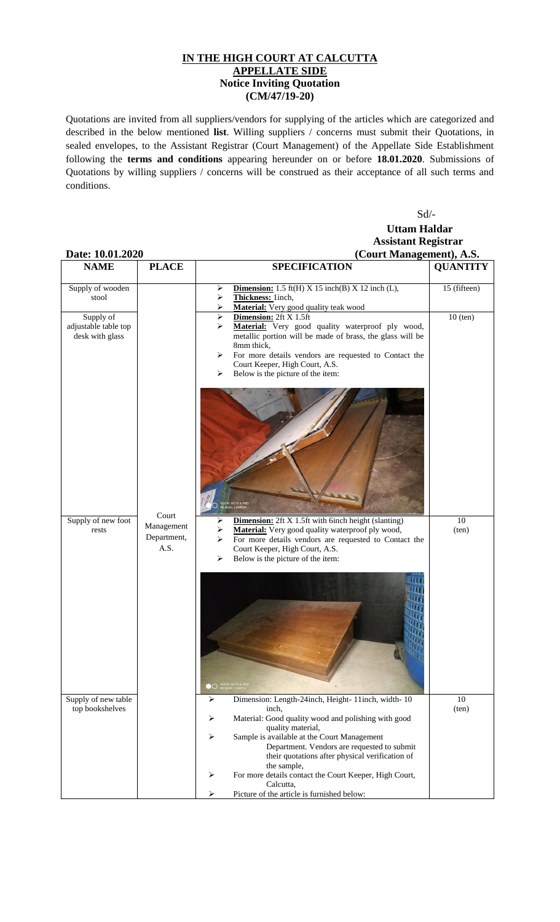## **IN THE HIGH COURT AT CALCUTTA APPELLATE SIDE Notice Inviting Quotation (CM/47/19-20)**

Quotations are invited from all suppliers/vendors for supplying of the articles which are categorized and described in the below mentioned **list**. Willing suppliers / concerns must submit their Quotations, in sealed envelopes, to the Assistant Registrar (Court Management) of the Appellate Side Establishment following the **terms and conditions** appearing hereunder on or before **18.01.2020**. Submissions of Quotations by willing suppliers / concerns will be construed as their acceptance of all such terms and conditions.

Sd/-

## **Uttam Haldar Assistant Registrar Date: 10.01.2020 (Court Management), A.S.**

| <b>NAME</b>                                          | <b>PLACE</b>                      | <b>SPECIFICATION</b>                                                                                                                                                                                                                                                                                      | <b>QUANTITY</b> |
|------------------------------------------------------|-----------------------------------|-----------------------------------------------------------------------------------------------------------------------------------------------------------------------------------------------------------------------------------------------------------------------------------------------------------|-----------------|
| Supply of wooden<br>stool                            |                                   | <b>Dimension:</b> 1.5 ft(H) $X$ 15 inch(B) $X$ 12 inch (L),<br>➤<br>Thickness: 1inch,<br>⋗<br>Material: Very good quality teak wood                                                                                                                                                                       | 15 (fifteen)    |
| Supply of<br>adjustable table top<br>desk with glass |                                   | Dimension: 2ft X 1.5ft<br>➤<br>Material: Very good quality waterproof ply wood,<br>↘<br>metallic portion will be made of brass, the glass will be<br>8mm thick,<br>For more details vendors are requested to Contact the<br>⋗<br>Court Keeper, High Court, A.S.<br>Below is the picture of the item:<br>➤ | $10$ (ten)      |
|                                                      | Court                             | .<br>REDMI NOTE 6 PRC<br>HI DUAL CAMERA                                                                                                                                                                                                                                                                   |                 |
| Supply of new foot<br>rests                          | Management<br>Department,<br>A.S. | <b>Dimension:</b> 2ft X 1.5ft with 6inch height (slanting)<br>➤<br>Material: Very good quality waterproof ply wood,<br>For more details vendors are requested to Contact the<br>⋗<br>Court Keeper, High Court, A.S.<br>Below is the picture of the item:<br>⋗                                             | 10<br>(ten)     |
|                                                      |                                   | <b>OO</b> REDMI NOTE & PRO                                                                                                                                                                                                                                                                                |                 |
| Supply of new table<br>top bookshelves               |                                   | Dimension: Length-24inch, Height-11inch, width-10<br>➤<br>inch.<br>Material: Good quality wood and polishing with good<br>➤                                                                                                                                                                               | 10<br>(ten)     |
|                                                      |                                   | quality material,<br>Sample is available at the Court Management<br>➤<br>Department. Vendors are requested to submit<br>their quotations after physical verification of<br>the sample,                                                                                                                    |                 |
|                                                      |                                   | For more details contact the Court Keeper, High Court,<br>➤<br>Calcutta,<br>Picture of the article is furnished below:<br>⋗                                                                                                                                                                               |                 |